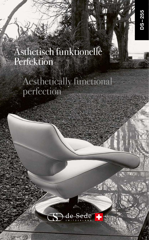## Ästhetisch funktionelle Perfektion

## Aesthetically functional

in<br>11

DS-255

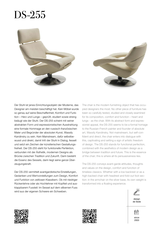## DS-255





Der Stuhl ist jenes Einrichtungsobjekt der Moderne, das Designer am meisten beschäftigt hat. Kein Möbel wurde so genau auf seine Beschaffenheit, Komfort und Funktion – Herz und Lunge – geprüft, studiert sowie streng beäugt wie der Stuhl. Der DS-255 scheint mit seiner abstrakten Form und expressionistischen Ausstrahlung eine formale Hommage an den russisch-französischen Maler und Begründer der absoluten Kunst, Wassily Kandinsky zu sein. Kein Mainstream, dafür selbstbewusst und direkt, damit tritt der Stuhl in Dialog, fesselt und setzt ein Zeichen der künstlerischen Gestaltungsfreiheit. Der DS-255 steht für funktionelle Perfektion, verbunden mit der Ästhetik, modernen Designs als Brücke zwischen Tradition und Zukunft. Darin besteht die Essenz des Sessels, darin liegt seine ganze Überzeugungskraft.

Der DS-255 vermittelt avantgardistische Einstellungen, Gedanken und Wertvorstellungen zum Design, Komfort und Funktion von zeitlosen Klassikern. Ob mit niedriger Rückenlehne oder als Hochlehner mit Kopfteil und ausklappbarem Fussteil: Im Sessel auf dem silbernen Fuss wird aus der eigenen Schwere ein Schweben.

The chair is the modern furnishing object that has occupied designers the most. No other piece of furniture has been so carefully tested, studied and closely examined for its composition, comfort and function – heart and lungs - as the chair. With its abstract form and expressionist appeal, the DS-255 seems to be a formal homage to the Russian-French painter and founder of absolute art, Wassily Kandinsky. Not mainstream, but self-confident and direct, the chair enters into dialogue with this, captivating and setting a sign of artistic freedom of design. The DS-255 stands for functional perfection, combined with the aesthetics of modern design as a bridge between tradition and future. This is the essence of the chair; this is where all its persuasiveness lies.

The DS-255 conveys avant-garde attitudes, thoughts and values on the design, comfort and function of timeless classics. Whether with a low backrest or as a high-backed chair with headrest and fold-out foot section: in the armchair on the silver base, its own weight is transformed into a floating experience.









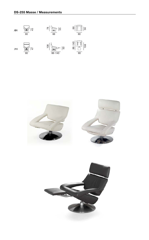